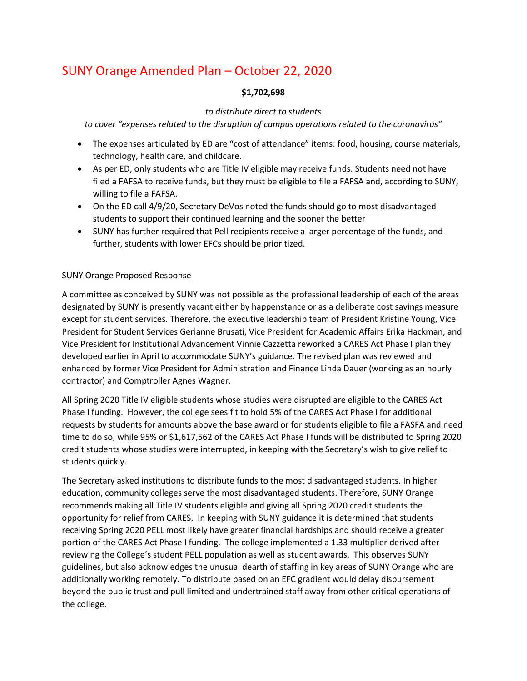# SUNY Orange Amended Plan – October 22, 2020

## **\$1,702,698**

### *to distribute direct to students*

*to cover "expenses related to the disruption of campus operations related to the coronavirus"*

- The expenses articulated by ED are "cost of attendance" items: food, housing, course materials, technology, health care, and childcare.
- As per ED, only students who are Title IV eligible may receive funds. Students need not have filed a FAFSA to receive funds, but they must be eligible to file a FAFSA and, according to SUNY, willing to file a FAFSA.
- On the ED call 4/9/20, Secretary DeVos noted the funds should go to most disadvantaged students to support their continued learning and the sooner the better
- SUNY has further required that Pell recipients receive a larger percentage of the funds, and further, students with lower EFCs should be prioritized.

#### SUNY Orange Proposed Response

A committee as conceived by SUNY was not possible as the professional leadership of each of the areas designated by SUNY is presently vacant either by happenstance or as a deliberate cost savings measure except for student services. Therefore, the executive leadership team of President Kristine Young, Vice President for Student Services Gerianne Brusati, Vice President for Academic Affairs Erika Hackman, and Vice President for Institutional Advancement Vinnie Cazzetta reworked a CARES Act Phase I plan they developed earlier in April to accommodate SUNY's guidance. The revised plan was reviewed and enhanced by former Vice President for Administration and Finance Linda Dauer (working as an hourly contractor) and Comptroller Agnes Wagner.

All Spring 2020 Title IV eligible students whose studies were disrupted are eligible to the CARES Act Phase I funding. However, the college sees fit to hold 5% of the CARES Act Phase I for additional requests by students for amounts above the base award or for students eligible to file a FASFA and need time to do so, while 95% or \$1,617,562 of the CARES Act Phase I funds will be distributed to Spring 2020 credit students whose studies were interrupted, in keeping with the Secretary's wish to give relief to students quickly.

The Secretary asked institutions to distribute funds to the most disadvantaged students. In higher education, community colleges serve the most disadvantaged students. Therefore, SUNY Orange recommends making all Title IV students eligible and giving all Spring 2020 credit students the opportunity for relief from CARES. In keeping with SUNY guidance it is determined that students receiving Spring 2020 PELL most likely have greater financial hardships and should receive a greater portion of the CARES Act Phase I funding. The college implemented a 1.33 multiplier derived after reviewing the College's student PELL population as well as student awards. This observes SUNY guidelines, but also acknowledges the unusual dearth of staffing in key areas of SUNY Orange who are additionally working remotely. To distribute based on an EFC gradient would delay disbursement beyond the public trust and pull limited and undertrained staff away from other critical operations of the college.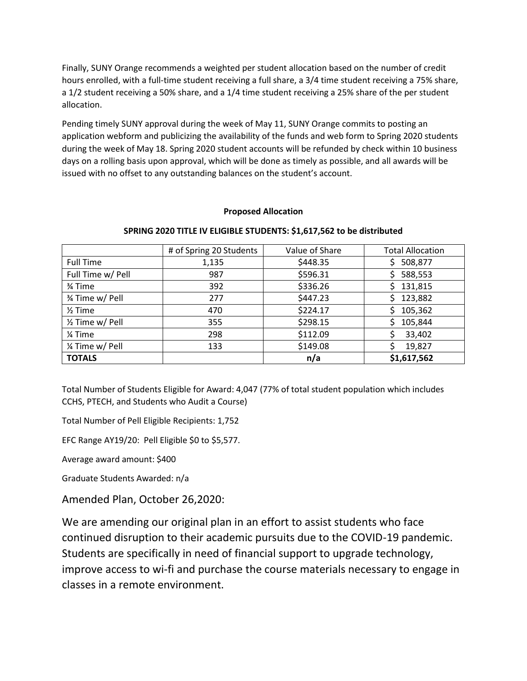Finally, SUNY Orange recommends a weighted per student allocation based on the number of credit hours enrolled, with a full-time student receiving a full share, a 3/4 time student receiving a 75% share, a 1/2 student receiving a 50% share, and a 1/4 time student receiving a 25% share of the per student allocation.

Pending timely SUNY approval during the week of May 11, SUNY Orange commits to posting an application webform and publicizing the availability of the funds and web form to Spring 2020 students during the week of May 18. Spring 2020 student accounts will be refunded by check within 10 business days on a rolling basis upon approval, which will be done as timely as possible, and all awards will be issued with no offset to any outstanding balances on the student's account.

#### **Proposed Allocation**

|                    | # of Spring 20 Students | Value of Share | <b>Total Allocation</b> |
|--------------------|-------------------------|----------------|-------------------------|
| <b>Full Time</b>   | 1,135                   | \$448.35       | 508,877                 |
| Full Time w/ Pell  | 987                     | \$596.31       | 588,553                 |
| 3⁄4 Time           | 392                     | \$336.26       | 131,815                 |
| 3⁄4 Time w/ Pell   | 277                     | \$447.23       | 123,882                 |
| $\frac{1}{2}$ Time | 470                     | \$224.17       | 105,362                 |
| 1/2 Time w/ Pell   | 355                     | \$298.15       | 105,844                 |
| 1⁄4 Time           | 298                     | \$112.09       | 33,402                  |
| 1/4 Time w/ Pell   | 133                     | \$149.08       | 19,827                  |
| <b>TOTALS</b>      |                         | n/a            | \$1,617,562             |

#### **SPRING 2020 TITLE IV ELIGIBLE STUDENTS: \$1,617,562 to be distributed**

Total Number of Students Eligible for Award: 4,047 (77% of total student population which includes CCHS, PTECH, and Students who Audit a Course)

Total Number of Pell Eligible Recipients: 1,752

EFC Range AY19/20: Pell Eligible \$0 to \$5,577.

Average award amount: \$400

Graduate Students Awarded: n/a

Amended Plan, October 26,2020:

We are amending our original plan in an effort to assist students who face continued disruption to their academic pursuits due to the COVID-19 pandemic. Students are specifically in need of financial support to upgrade technology, improve access to wi-fi and purchase the course materials necessary to engage in classes in a remote environment.